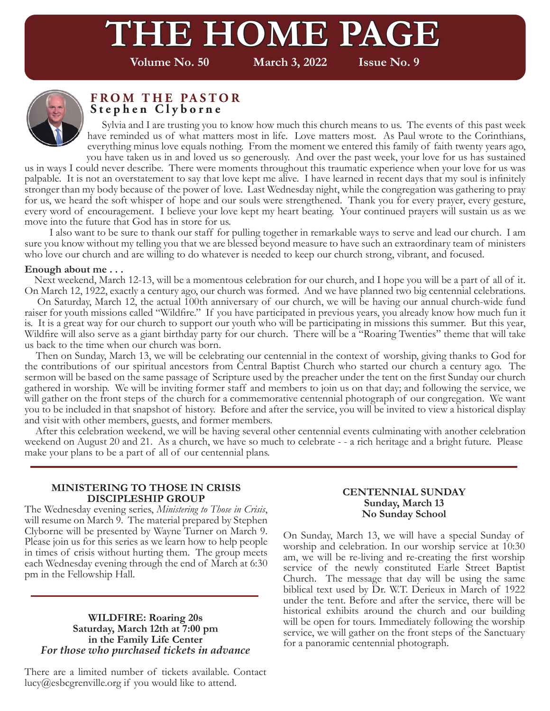# **TE HOME PAGE**

**Volume No. 50 March 3, 2022 Issue No. 9**



#### **FROM THE PASTOR Stephen Clyborne**

 Sylvia and I are trusting you to know how much this church means to us. The events of this past week have reminded us of what matters most in life. Love matters most. As Paul wrote to the Corinthians, everything minus love equals nothing. From the moment we entered this family of faith twenty years ago, you have taken us in and loved us so generously. And over the past week, your love for us has sustained

us in ways I could never describe. There were moments throughout this traumatic experience when your love for us was palpable. It is not an overstatement to say that love kept me alive. I have learned in recent days that my soul is infinitely stronger than my body because of the power of love. Last Wednesday night, while the congregation was gathering to pray for us, we heard the soft whisper of hope and our souls were strengthened. Thank you for every prayer, every gesture, every word of encouragement. I believe your love kept my heart beating. Your continued prayers will sustain us as we move into the future that God has in store for us.

 I also want to be sure to thank our staff for pulling together in remarkable ways to serve and lead our church. I am sure you know without my telling you that we are blessed beyond measure to have such an extraordinary team of ministers who love our church and are willing to do whatever is needed to keep our church strong, vibrant, and focused.

#### **Enough about me . . .**

 Next weekend, March 12-13, will be a momentous celebration for our church, and I hope you will be a part of all of it. On March 12, 1922, exactly a century ago, our church was formed. And we have planned two big centennial celebrations.

 On Saturday, March 12, the actual 100th anniversary of our church, we will be having our annual church-wide fund raiser for youth missions called "Wildfire." If you have participated in previous years, you already know how much fun it is. It is a great way for our church to support our youth who will be participating in missions this summer. But this year, Wildfire will also serve as a giant birthday party for our church. There will be a "Roaring Twenties" theme that will take us back to the time when our church was born.

 Then on Sunday, March 13, we will be celebrating our centennial in the context of worship, giving thanks to God for the contributions of our spiritual ancestors from Central Baptist Church who started our church a century ago. The sermon will be based on the same passage of Scripture used by the preacher under the tent on the first Sunday our church gathered in worship. We will be inviting former staff and members to join us on that day; and following the service, we will gather on the front steps of the church for a commemorative centennial photograph of our congregation. We want you to be included in that snapshot of history. Before and after the service, you will be invited to view a historical display and visit with other members, guests, and former members.

 After this celebration weekend, we will be having several other centennial events culminating with another celebration weekend on August 20 and 21. As a church, we have so much to celebrate - - a rich heritage and a bright future. Please make your plans to be a part of all of our centennial plans.

#### **MINISTERING TO THOSE IN CRISIS DISCIPLESHIP GROUP**

The Wednesday evening series, *Ministering to Those in Crisis*, will resume on March 9. The material prepared by Stephen Clyborne will be presented by Wayne Turner on March 9. Please join us for this series as we learn how to help people in times of crisis without hurting them. The group meets each Wednesday evening through the end of March at 6:30 pm in the Fellowship Hall.

#### **WILDFIRE: Roaring 20s Saturday, March 12th at 7:00 pm in the Family Life Center** *For those who purchased tickets in advance*

There are a limited number of tickets available. Contact lucy@esbcgrenville.org if you would like to attend.

#### **CENTENNIAL SUNDAY Sunday, March 13 No Sunday School**

On Sunday, March 13, we will have a special Sunday of worship and celebration. In our worship service at 10:30 am, we will be re-living and re-creating the first worship service of the newly constituted Earle Street Baptist Church. The message that day will be using the same biblical text used by Dr. W.T. Derieux in March of 1922 under the tent. Before and after the service, there will be historical exhibits around the church and our building will be open for tours. Immediately following the worship service, we will gather on the front steps of the Sanctuary for a panoramic centennial photograph.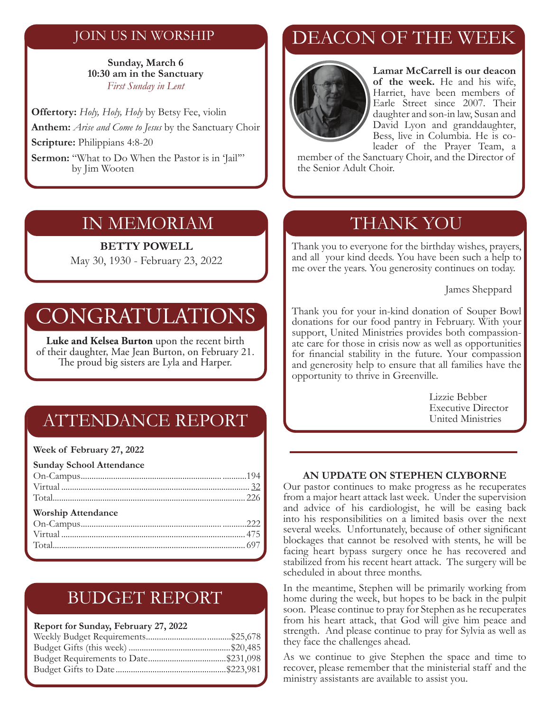### JOIN US IN WORSHIP

#### **Sunday, March 6 10:30 am in the Sanctuary** *First Sunday in Lent*

**Offertory:** *Holy, Holy, Holy* by Betsy Fee, violin **Anthem:** *Arise and Come to Jesus* by the Sanctuary Choir **Scripture:** Philippians 4:8-20

**Sermon:** "What to Do When the Pastor is in 'Jail"" by Jim Wooten

### IN MEMORIAM

#### **BETTY POWELL**

May 30, 1930 - February 23, 2022

# CONGRATULATIONS

**Luke and Kelsea Burton** upon the recent birth of their daughter, Mae Jean Burton, on February 21. The proud big sisters are Lyla and Harper.

# ATTENDANCE REPORT

#### **Week of February 27, 2022**

| <b>Sunday School Attendance</b> |  |
|---------------------------------|--|
|                                 |  |
|                                 |  |
|                                 |  |
| <b>Worship Attendance</b>       |  |
|                                 |  |
|                                 |  |
|                                 |  |
|                                 |  |

## BUDGET REPORT

#### **Report for Sunday, February 27, 2022**

# DEACON OF THE WEEK



**Lamar McCarrell is our deacon of the week.** He and his wife, Harriet, have been members of Earle Street since 2007. Their daughter and son-in law, Susan and David Lyon and granddaughter, Bess, live in Columbia. He is coleader of the Prayer Team, a

member of the Sanctuary Choir, and the Director of the Senior Adult Choir.

## THANK YOU

Thank you to everyone for the birthday wishes, prayers, and all your kind deeds. You have been such a help to me over the years. You generosity continues on today.

James Sheppard

Thank you for your in-kind donation of Souper Bowl donations for our food pantry in February. With your support, United Ministries provides both compassionate care for those in crisis now as well as opportunities for financial stability in the future. Your compassion and generosity help to ensure that all families have the opportunity to thrive in Greenville.

> Lizzie Bebber Executive Director United Ministries

#### **AN UPDATE ON STEPHEN CLYBORNE**

Our pastor continues to make progress as he recuperates from a major heart attack last week. Under the supervision and advice of his cardiologist, he will be easing back into his responsibilities on a limited basis over the next several weeks. Unfortunately, because of other significant blockages that cannot be resolved with stents, he will be facing heart bypass surgery once he has recovered and stabilized from his recent heart attack. The surgery will be scheduled in about three months.

In the meantime, Stephen will be primarily working from home during the week, but hopes to be back in the pulpit soon. Please continue to pray for Stephen as he recuperates from his heart attack, that God will give him peace and strength. And please continue to pray for Sylvia as well as they face the challenges ahead.

As we continue to give Stephen the space and time to recover, please remember that the ministerial staff and the ministry assistants are available to assist you.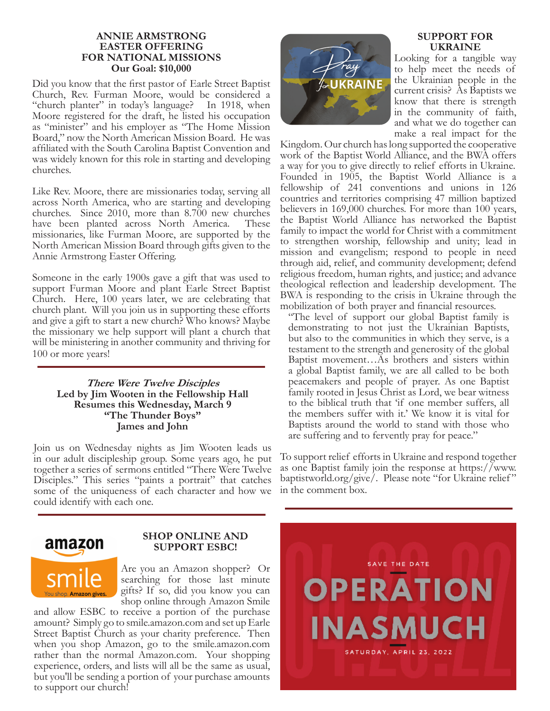#### **ANNIE ARMSTRONG EASTER OFFERING FOR NATIONAL MISSIONS Our Goal: \$10,000**

Did you know that the first pastor of Earle Street Baptist Church, Rev. Furman Moore, would be considered a "church planter" in today's language? In 1918, when Moore registered for the draft, he listed his occupation as "minister" and his employer as "The Home Mission Board," now the North American Mission Board. He was affiliated with the South Carolina Baptist Convention and was widely known for this role in starting and developing churches.

Like Rev. Moore, there are missionaries today, serving all across North America, who are starting and developing churches. Since 2010, more than 8.700 new churches have been planted across North America. These missionaries, like Furman Moore, are supported by the North American Mission Board through gifts given to the Annie Armstrong Easter Offering.

Someone in the early 1900s gave a gift that was used to support Furman Moore and plant Earle Street Baptist Church. Here, 100 years later, we are celebrating that church plant. Will you join us in supporting these efforts and give a gift to start a new church? Who knows? Maybe the missionary we help support will plant a church that will be ministering in another community and thriving for 100 or more years!

#### **There Were Twelve Disciples Led by Jim Wooten in the Fellowship Hall Resumes this Wednesday, March 9 "The Thunder Boys" James and John**

Join us on Wednesday nights as Jim Wooten leads us in our adult discipleship group. Some years ago, he put together a series of sermons entitled "There Were Twelve Disciples." This series "paints a portrait" that catches some of the uniqueness of each character and how we could identify with each one.



#### **SUPPORT FOR UKRAINE**

Looking for a tangible way to help meet the needs of the Ukrainian people in the current crisis? As Baptists we know that there is strength in the community of faith, and what we do together can make a real impact for the

Kingdom. Our church has long supported the cooperative work of the Baptist World Alliance, and the BWA offers a way for you to give directly to relief efforts in Ukraine. Founded in 1905, the Baptist World Alliance is a fellowship of 241 conventions and unions in 126 countries and territories comprising 47 million baptized believers in 169,000 churches. For more than 100 years, the Baptist World Alliance has networked the Baptist family to impact the world for Christ with a commitment to strengthen worship, fellowship and unity; lead in mission and evangelism; respond to people in need through aid, relief, and community development; defend religious freedom, human rights, and justice; and advance theological reflection and leadership development. The BWA is responding to the crisis in Ukraine through the mobilization of both prayer and financial resources.

"The level of support our global Baptist family is demonstrating to not just the Ukrainian Baptists, but also to the communities in which they serve, is a testament to the strength and generosity of the global Baptist movement…As brothers and sisters within a global Baptist family, we are all called to be both peacemakers and people of prayer. As one Baptist family rooted in Jesus Christ as Lord, we bear witness to the biblical truth that 'if one member suffers, all the members suffer with it.' We know it is vital for Baptists around the world to stand with those who are suffering and to fervently pray for peace."

To support relief efforts in Ukraine and respond together as one Baptist family join the response at https://www. baptistworld.org/give/. Please note "for Ukraine relief" in the comment box.



#### **SHOP ONLINE AND SUPPORT ESBC!**

Are you an Amazon shopper? Or searching for those last minute gifts? If so, did you know you can shop online through Amazon Smile

and allow ESBC to receive a portion of the purchase amount? Simply go to smile.amazon.com and set up Earle Street Baptist Church as your charity preference. Then when you shop Amazon, go to the smile.amazon.com rather than the normal Amazon.com. Your shopping experience, orders, and lists will all be the same as usual, but you'll be sending a portion of your purchase amounts to support our church!